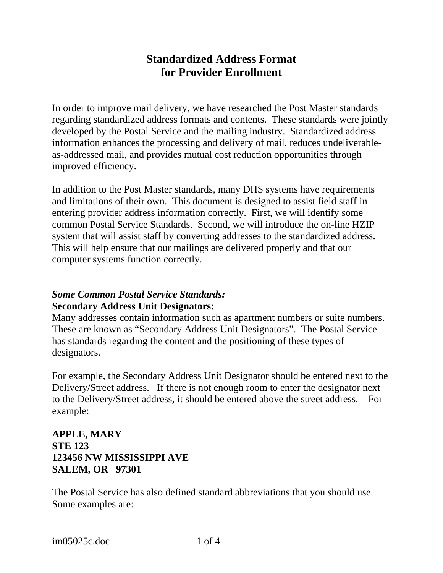# **Standardized Address Format for Provider Enrollment**

In order to improve mail delivery, we have researched the Post Master standards regarding standardized address formats and contents. These standards were jointly developed by the Postal Service and the mailing industry. Standardized address information enhances the processing and delivery of mail, reduces undeliverableas-addressed mail, and provides mutual cost reduction opportunities through improved efficiency.

In addition to the Post Master standards, many DHS systems have requirements and limitations of their own. This document is designed to assist field staff in entering provider address information correctly. First, we will identify some common Postal Service Standards. Second, we will introduce the on-line HZIP system that will assist staff by converting addresses to the standardized address. This will help ensure that our mailings are delivered properly and that our computer systems function correctly.

#### *Some Common Postal Service Standards:*  **Secondary Address Unit Designators:**

Many addresses contain information such as apartment numbers or suite numbers. These are known as "Secondary Address Unit Designators". The Postal Service has standards regarding the content and the positioning of these types of designators.

For example, the Secondary Address Unit Designator should be entered next to the Delivery/Street address. If there is not enough room to enter the designator next to the Delivery/Street address, it should be entered above the street address. For example:

# **APPLE, MARY STE 123 123456 NW MISSISSIPPI AVE SALEM, OR 97301**

The Postal Service has also defined standard abbreviations that you should use. Some examples are: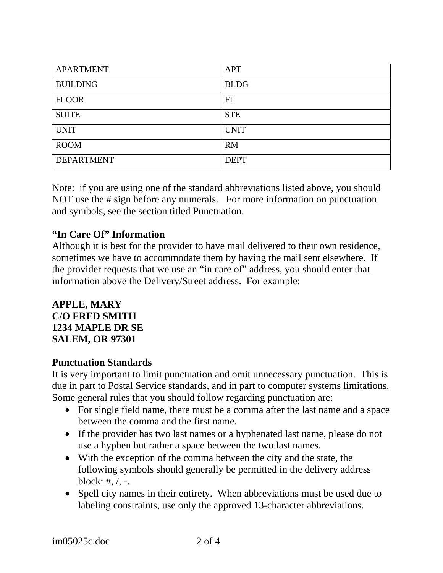| <b>APARTMENT</b>  | <b>APT</b>  |
|-------------------|-------------|
| <b>BUILDING</b>   | <b>BLDG</b> |
| <b>FLOOR</b>      | FL          |
| <b>SUITE</b>      | <b>STE</b>  |
| <b>UNIT</b>       | <b>UNIT</b> |
| <b>ROOM</b>       | <b>RM</b>   |
| <b>DEPARTMENT</b> | <b>DEPT</b> |

Note: if you are using one of the standard abbreviations listed above, you should NOT use the # sign before any numerals. For more information on punctuation and symbols, see the section titled Punctuation.

# **"In Care Of" Information**

Although it is best for the provider to have mail delivered to their own residence, sometimes we have to accommodate them by having the mail sent elsewhere. If the provider requests that we use an "in care of" address, you should enter that information above the Delivery/Street address. For example:

#### **APPLE, MARY C/O FRED SMITH 1234 MAPLE DR SE SALEM, OR 97301**

#### **Punctuation Standards**

It is very important to limit punctuation and omit unnecessary punctuation. This is due in part to Postal Service standards, and in part to computer systems limitations. Some general rules that you should follow regarding punctuation are:

- For single field name, there must be a comma after the last name and a space between the comma and the first name.
- If the provider has two last names or a hyphenated last name, please do not use a hyphen but rather a space between the two last names.
- With the exception of the comma between the city and the state, the following symbols should generally be permitted in the delivery address block: #,  $/$ , -.
- Spell city names in their entirety. When abbreviations must be used due to labeling constraints, use only the approved 13-character abbreviations.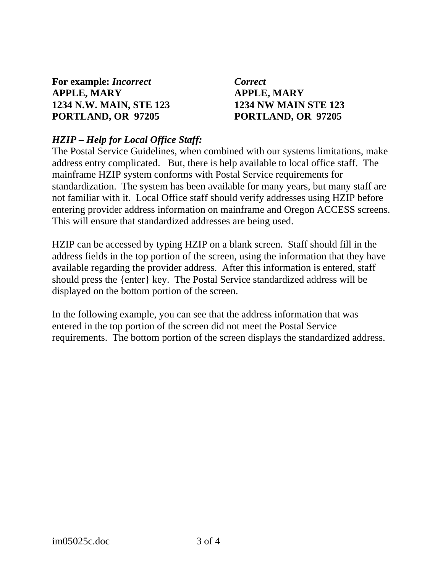**For example:** *Incorrect**Correct*  **APPLE, MARY APPLE, MARY 1234 N.W. MAIN, STE 123 1234 NW MAIN STE 123 PORTLAND, OR 97205 PORTLAND, OR 97205** 

### *HZIP – Help for Local Office Staff:*

The Postal Service Guidelines, when combined with our systems limitations, make address entry complicated. But, there is help available to local office staff. The mainframe HZIP system conforms with Postal Service requirements for standardization. The system has been available for many years, but many staff are not familiar with it. Local Office staff should verify addresses using HZIP before entering provider address information on mainframe and Oregon ACCESS screens. This will ensure that standardized addresses are being used.

HZIP can be accessed by typing HZIP on a blank screen. Staff should fill in the address fields in the top portion of the screen, using the information that they have available regarding the provider address. After this information is entered, staff should press the {enter} key. The Postal Service standardized address will be displayed on the bottom portion of the screen.

In the following example, you can see that the address information that was entered in the top portion of the screen did not meet the Postal Service requirements. The bottom portion of the screen displays the standardized address.